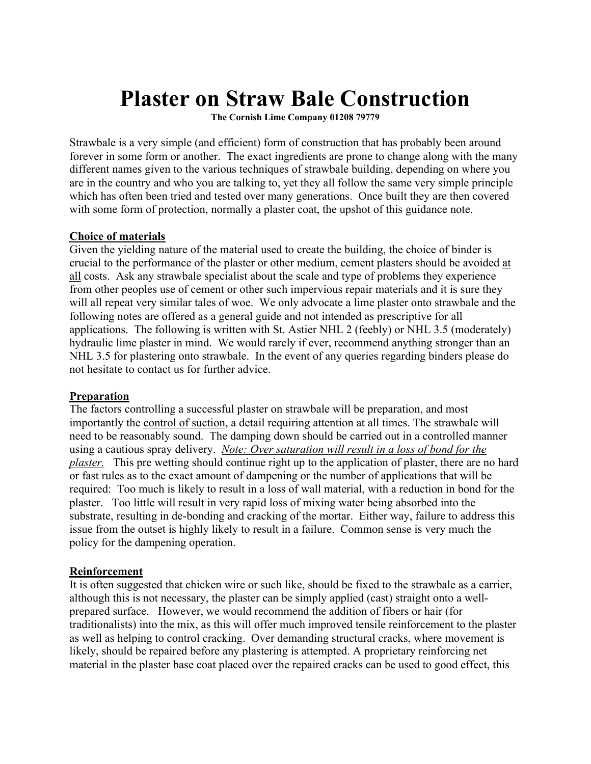# **Plaster on Straw Bale Construction**

**The Cornish Lime Company 01208 79779**

Strawbale is a very simple (and efficient) form of construction that has probably been around forever in some form or another. The exact ingredients are prone to change along with the many different names given to the various techniques of strawbale building, depending on where you are in the country and who you are talking to, yet they all follow the same very simple principle which has often been tried and tested over many generations. Once built they are then covered with some form of protection, normally a plaster coat, the upshot of this guidance note.

#### **Choice of materials**

Given the yielding nature of the material used to create the building, the choice of binder is crucial to the performance of the plaster or other medium, cement plasters should be avoided at all costs. Ask any strawbale specialist about the scale and type of problems they experience from other peoples use of cement or other such impervious repair materials and it is sure they will all repeat very similar tales of woe. We only advocate a lime plaster onto strawbale and the following notes are offered as a general guide and not intended as prescriptive for all applications. The following is written with St. Astier NHL 2 (feebly) or NHL 3.5 (moderately) hydraulic lime plaster in mind. We would rarely if ever, recommend anything stronger than an NHL 3.5 for plastering onto strawbale. In the event of any queries regarding binders please do not hesitate to contact us for further advice.

#### **Preparation**

The factors controlling a successful plaster on strawbale will be preparation, and most importantly the control of suction, a detail requiring attention at all times. The strawbale will need to be reasonably sound. The damping down should be carried out in a controlled manner using a cautious spray delivery. *Note: Over saturation will result in a loss of bond for the plaster.* This pre wetting should continue right up to the application of plaster, there are no hard or fast rules as to the exact amount of dampening or the number of applications that will be required: Too much is likely to result in a loss of wall material, with a reduction in bond for the plaster. Too little will result in very rapid loss of mixing water being absorbed into the substrate, resulting in de-bonding and cracking of the mortar. Either way, failure to address this issue from the outset is highly likely to result in a failure. Common sense is very much the policy for the dampening operation.

#### **Reinforcement**

It is often suggested that chicken wire or such like, should be fixed to the strawbale as a carrier, although this is not necessary, the plaster can be simply applied (cast) straight onto a wellprepared surface. However, we would recommend the addition of fibers or hair (for traditionalists) into the mix, as this will offer much improved tensile reinforcement to the plaster as well as helping to control cracking. Over demanding structural cracks, where movement is likely, should be repaired before any plastering is attempted. A proprietary reinforcing net material in the plaster base coat placed over the repaired cracks can be used to good effect, this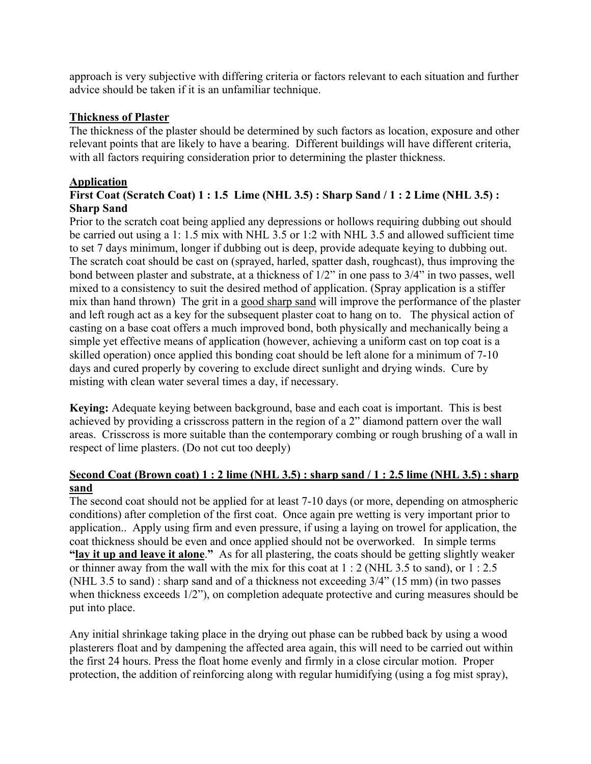approach is very subjective with differing criteria or factors relevant to each situation and further advice should be taken if it is an unfamiliar technique.

#### **Thickness of Plaster**

The thickness of the plaster should be determined by such factors as location, exposure and other relevant points that are likely to have a bearing. Different buildings will have different criteria, with all factors requiring consideration prior to determining the plaster thickness.

#### **Application**

### **First Coat (Scratch Coat) 1 : 1.5 Lime (NHL 3.5) : Sharp Sand / 1 : 2 Lime (NHL 3.5) : Sharp Sand**

Prior to the scratch coat being applied any depressions or hollows requiring dubbing out should be carried out using a 1: 1.5 mix with NHL 3.5 or 1:2 with NHL 3.5 and allowed sufficient time to set 7 days minimum, longer if dubbing out is deep, provide adequate keying to dubbing out. The scratch coat should be cast on (sprayed, harled, spatter dash, roughcast), thus improving the bond between plaster and substrate, at a thickness of 1/2" in one pass to 3/4" in two passes, well mixed to a consistency to suit the desired method of application. (Spray application is a stiffer mix than hand thrown) The grit in a good sharp sand will improve the performance of the plaster and left rough act as a key for the subsequent plaster coat to hang on to. The physical action of casting on a base coat offers a much improved bond, both physically and mechanically being a simple yet effective means of application (however, achieving a uniform cast on top coat is a skilled operation) once applied this bonding coat should be left alone for a minimum of 7-10 days and cured properly by covering to exclude direct sunlight and drying winds. Cure by misting with clean water several times a day, if necessary.

**Keying:** Adequate keying between background, base and each coat is important. This is best achieved by providing a crisscross pattern in the region of a 2" diamond pattern over the wall areas. Crisscross is more suitable than the contemporary combing or rough brushing of a wall in respect of lime plasters. (Do not cut too deeply)

#### **Second Coat (Brown coat) 1 : 2 lime (NHL 3.5) : sharp sand / 1 : 2.5 lime (NHL 3.5) : sharp sand**

The second coat should not be applied for at least 7-10 days (or more, depending on atmospheric conditions) after completion of the first coat. Once again pre wetting is very important prior to application.. Apply using firm and even pressure, if using a laying on trowel for application, the coat thickness should be even and once applied should not be overworked. In simple terms **"lay it up and leave it alone**.**"** As for all plastering, the coats should be getting slightly weaker or thinner away from the wall with the mix for this coat at 1 : 2 (NHL 3.5 to sand), or 1 : 2.5 (NHL 3.5 to sand) : sharp sand and of a thickness not exceeding 3/4" (15 mm) (in two passes when thickness exceeds 1/2"), on completion adequate protective and curing measures should be put into place.

Any initial shrinkage taking place in the drying out phase can be rubbed back by using a wood plasterers float and by dampening the affected area again, this will need to be carried out within the first 24 hours. Press the float home evenly and firmly in a close circular motion. Proper protection, the addition of reinforcing along with regular humidifying (using a fog mist spray),